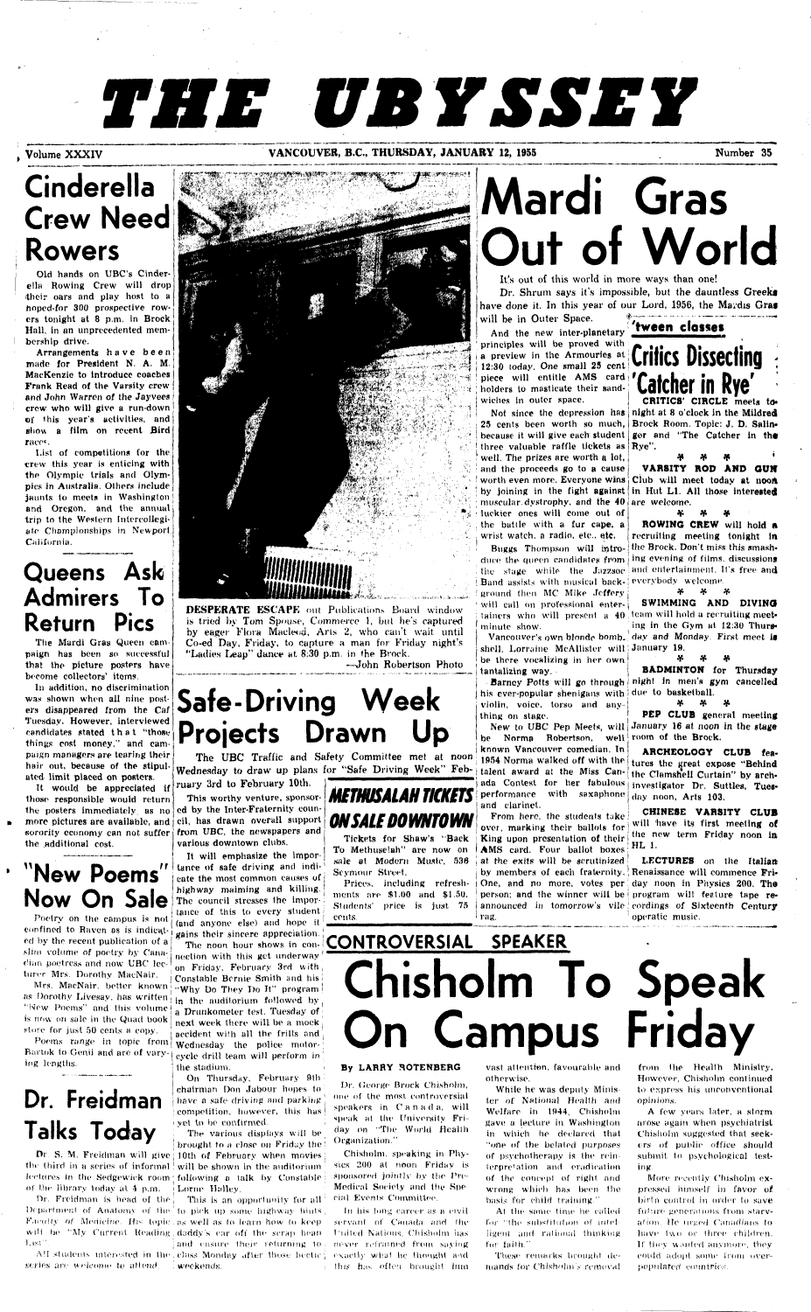# *THE UBYSSEY*

### **Volume XXXIV COUVER, B.C., THURSDAY, JANUARY 12, 1955** Number 35

## **Cinderella Crew Need Rowers**

Old hands on UBC's Cinderella Rowing Crew will drop their oars and play host to a hoped-for 300 prospective rowers tonight at 8 p.m. in Brock Hall, in an unprecedented membership drive.

Arrangements have been made for President N. A. M. MacKenzie to introduce coaches Frank Read of the Varsity crew and John Warren of the Jayvees crow who will give a run-down of this year's activities, and show a film on recent Bird race\*.

List of competitions for the crew this year is enticing with the Olympic trials and Olympics in Australia. Others include jaunts to meets in Washington and Oregon, and the annual trip to the Western Intercollegiate Championships in Newport California.

> DESPERATE ESCAPE out Publications Board window is tried by Tom Spouse, Commerce 1, but he's captured by eager Flora Macleod, Arts 2, who can't wait until Co-ed Day, Friday, to capture a man for Friday night's "Ladies Leap" dance at 8.30 p.m. in the Brock.

### **Queens Ask Admirers To Return Pics**

The Mardi Gras Queen campaign has been so successful that the picture posters have become collectors' items.

In addition, no discrimination was shown when all nine posters disappeared from the Caf Tuesday. However, interviewed candidates stated that "those things cost money," and campaign managers are tearing their hair out, because of the stipulated limit placed on posters.

principles will be proved with ia preview in the Armouries at **Critics Dissecting** :  $12:30$  today. One small 25 cent. piece will entitle AMS card holders to masticate their sandwiches in outer space.

25 cents been worth so much, Brock Room. Topic: J. D. Salinbecause it will give each student ger and "The Catcher in the three valuable raffle tickets as Rye". well. The prizes are worth a lot, and the proceeds go to a cause worth even more. Everyone wins Club will meet today at n**oon** by joining in the fight against in Hut L1. All those interested muscular dystrophy, and the  ${\bf 40}$  are welcome. luckier ones will come out of the batile with a fur cape, a wrist watch, a radio, etc., etc.

those responsible would return

**Mardi Gras Out of World** 

It's out of this world in more ways than one!

Dr. Shrum says it's impossible, but the dauntless Greeks have done it. In this year of our Lord, 1956, the Mardis Gras will be in Outer Space.

will be in Outer Space.

duce the queen candidates from  $\vert$  ing evening of films, discussions the stage while the Jazzsoc and entertainment. It's free and ! Band assists with musical back- everybody welcome. ground then MC Mike Jeffery will call on professional enter- $\frac{1}{2}$  tainers who will present a  $40$  team will hold a recruiting meetminute show.

Vancouver's own blonde bomb<sub>-</sub> day and Monday. First meet i**s** shell, Lorraine McAllister will! January 19. be there vocalizing in her own tantalizing way.



his ever-popular shenigans with  $|$  due to basketball. violin, voice, torso and any thing on stage.

ruary 3rd to February 10th. **in a measure of a set measured** ada Contest for her fabulous investigator Dr. Suttles, Tuesbe Norma Robertson, well room of the Brock. known Vancouver comedian. In 1954 Norma walked off with the tures the great expose "Behind performance with saxaphone  $_{\rm day}$  noon, Arts 103. and clarinet. talent award at the Miss Can- the Clamshell Curtain" by arch-

Buggs Thompson will intro-|the Brock. Don't miss this smash-ROWING CREW will hold A recruiting meeting tonight in

—John Robertson Photo

## **Safe-Driving Week Projects Drawn Up**

The UBC Traffic and Safety Committee met at noon Wednesday to draw up plans for "Safe Driving Week" Feb-

It would be appreciated if ruary 3rd to February 10th. the posters immediately, as no ed by the Inter-Fraternity coun-This worthy venture, sponsor- **METHUSALAH TICKETS** per more pictures are available, and cil, has drawn overall support **ON SALE DOWNTOWN** sorority economy can not suffer from UBC, the newspapers and  $\mathbf{1}$ **New Poems**"  $\left| \begin{smallmatrix} \text{tance of safe driving and indi-1} \\ \text{cate the most common causes of} \end{smallmatrix} \right|$ as Dorothy Livesay, has written  $\frac{1}{2}$  in the auditorium followed by  $\frac{1}{2}$ Poems range in topic from  $w_{\text{adnesday}}$  the police motor-Dr. S. M. Freidman will give 10th of February when movies the third in a series of informal will be shown in the auditorium lectures in the Sedgewick room following a talk by Constable Dr. Freidman is head of the  $\vert$  – This is an opportunity for all Department of Analomy of the to pick up some highway hints Faculty of Medicine. His topic as well as to learn how to keep will be "My Current Reading, daddy's ear off the serap heap All students interested in the class Monday after those hectic j exactly what he thought and various downtown clubs. It will emphasize the Imporcate the most common causes of  $\mathfrak j$ highway maiming and killing. The council stresses the importance of this to every student (and anyone else) and hope il gains their sincere appreciation. [ The noon hour shows in connection with this get underway ' on Friday, February 3rd with. Constable Bcrnte Smith and his! "Why Do They Do It" program I a Drunkometer test. Tuesday of next week there will be a mock accident with all the frills and eycle drill team will perform in | the stadium. *\ \* On Thursday, February 9th : chairman Don Jabour hopes to have a safe driving and parking competition, however, this has i yet to be confirmed. The various displays will be | brought to a close on Friday the  $\frac{1}{2}$  and ensure their returning to.

Barney Potts will go through night in men's gym cancelled BADMINTON for Thursday

Poetry on the campus is not confined to Raven as is indicated by the recent publication of a slim volume of poetry by Canadian pootrcss and now UBC lecturer Mrs. Dorothy MacNair.

:

CHINESE VARSITY CLUB will have its first meeting of

**V T\* V**  VARSITY ROD AND **OUN** 

Tickets for Shaw's "Back King upon presentation of their  $\frac{1}{n+1}$  the new term Friday noon in To Methuselah" are now on  $AMS$  card. Four ballot boxes  $HL$  1. sale at Modern Music,  $536$   $\vert$  at the exits will be scrutinized Seymour Street. Prices, including refresh- One, and no more, votes per day noon in Physics 200. Th**e** ments are \$1.00 and \$1.51). Students' price is just 75 cents. From here, the students take over, marking their ballots for  $\mid$ | by members of each fraternity. | Renaissance will commence Fri-*\* person; and the winner will be program will feature tape reannounced in tomorrow's vile cordings of Sixteenth Centur**y** I rag. LECTURES on the Italian operatic music.

Catcher in Rye<sup>'</sup>

Not since the depression has night at 8 o'clock in the Mildred ger and "The Catcher in the

**•?• \*?• \*v** 

New to UBC Pep Meets, will January 16 at noon in the stage PEP CLUB general meeting

**\*T\* \*r -T\***  SWIMMING AND DIVING ing in the Gym at 12:30 Thurs-

*\*V \*r \*r* 

*\*T\* \*T\* \*r* 

the additional cost.

## **Now On Sale**

 $\mathbf{b}$ 

More recently Chisholm expressed himself in favor of birfn control in order to save fulture generations from starvation. He urged Canadians to have two or three children. If they wauled anymore, they could adopt .some from over- populated countries.

Mrs. MacNair. better known; "New Poems" and this volume is now on sale in the Quad book store for just 50 cents a copy.

Bartok to Genii and are of varying lengths.

## **Dr. Freidman Talks Today**

of the library today at  $4$  p.m.  $\pm$  Lorne Halley.

**l'.txl".** 

series are welcome to attend. I weekends.

ARCHEOLOGY CLUB fea-

## **CONTROVERSIAL SPEAKER Chisholm To Speak On Campus Friday**

### By LARRY ROTENBEBG

Dr. (ieorgo Brock Chisholm, one of the most controversial speakers in O a n a d a, will speak at the University Fri day on "The World Health Organization."

Chisholm. speaking in Physics 200 at noon Friday is sponsored jointly by the Pre-Medical Society and the Special Events Committee.

In his long career as a civil servant of Canada and the Piiited Nations. Chisholm lias never retrained from saying this has often brought linn vast attention, favourable and otherwise.

While he was deputy Minis ter of National Health and Welfare in 1944, Chisholm gave a lecture in Washington in which he declared that "one of the belated purposes of psychotherapy is the rein ierpre'ation and eradication of the concept of right and wrong which has been the basis for child training."

At the same time he called for "the substitution of intelligent and rational thinking for faith."

These remarks brought demands for Chisholm s removal

from Ihe Health Ministry. However, Chisholm continued to express his unconventional opinions.

A few years later, a storm arose again when psychiatrist Chisholm suggested that seekers of public office should submit, to psychological testing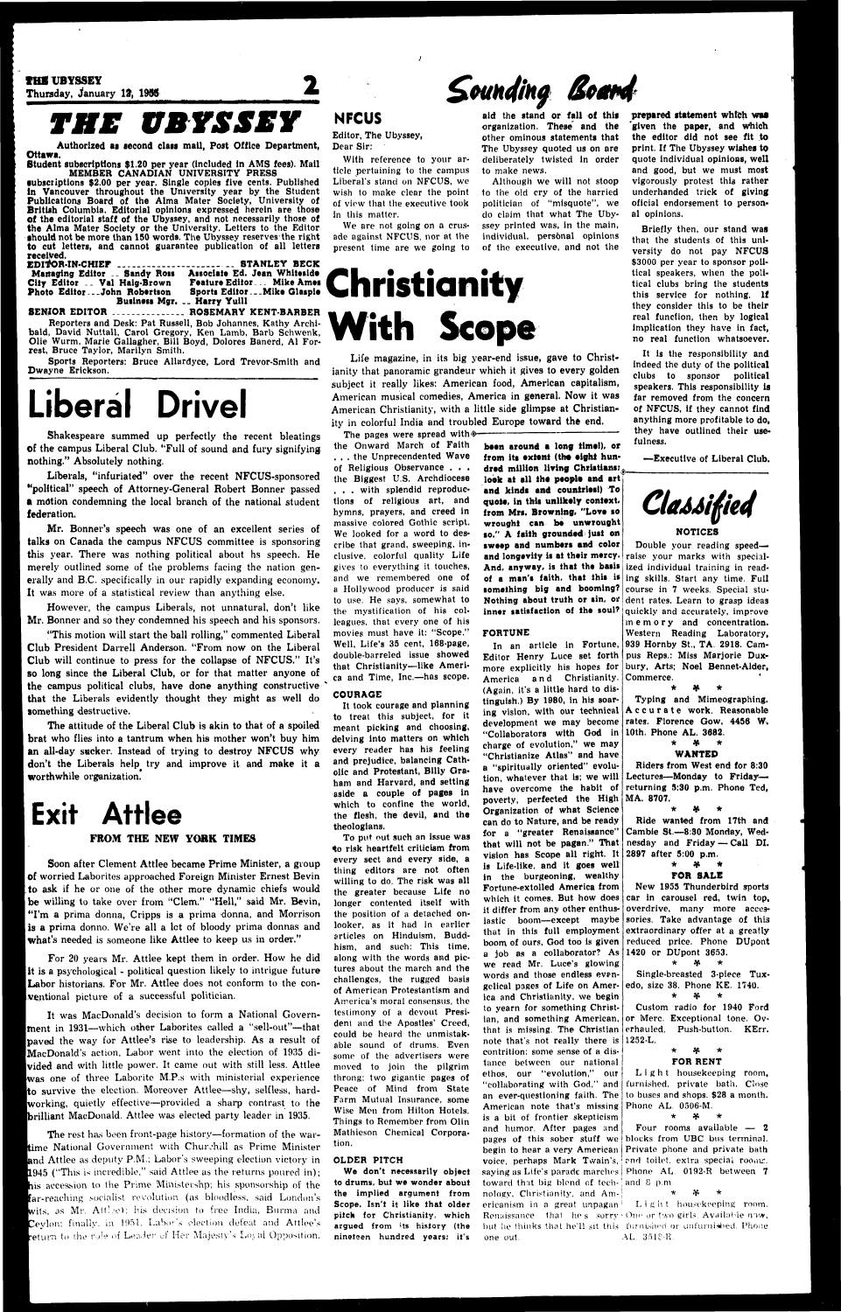THE UBYSSEY Thursday, January *1%* 1985

## *THE UBYSSEY*

Authorized as second class mall, Post Office Department, Ottawa.

•ubscriptions \$2.00 per year. Single copies five cents. Published ln Vancouver throughout the University year by the Student Publications Board of the Alma Mater Society, University of British Columbia. Editorial opinions expressed herein are those of the editorial staff of the Ubyssey, and not necessarily those of the Alma Mater Society or the University. Letters to the Editor should not be more than 150 words. The Ubyssey reserves the right to cut letters, and cannot guarantee publication of all letters received.

Student subscriptions \$1.20 per year (included ln AMS fees). Mail MEMBER CANADIAN UNIVERSITY PRESS

SENIOR EDITOR ................ ROSEMARY KENT-BARBER Reporters and Desk: Pat Russell, Bob Johannes, Kathy Archibald, David Nuttall, Carol Gregory, Ken Lamb, Barb Schwenk, Olie Wurm, Marie Gallagher, Bill Boyd, Dolores Banerd, Al Forrest, Bruce Taylor, Marilyn Smith.

| Managing Editor  Sandy Ross | Associate Ed. Jean Whiteside    |
|-----------------------------|---------------------------------|
| City Editor  Val Haig-Brown | <b>Feature Editor Mike Ames</b> |
| Photo EditorJohn Robertson  | Sports EditorMike Glaspie       |
|                             | Business Mgr.  Harry Yuill      |

"This motion will start the ball rolling," commented Liberal Club President Darrell Anderson. "From now on the Liberal Club will continue to press for the collapse of NFCUS." It's so long since the Liberal Club, or for that matter anyone of the campus political clubs, have done anything constructive that the Liberals evidently thought they might as well do something destructive.

Sports Reporters: Bruce Allardyce, Lord Trevor-Smith and Dwayne Erickson.

## Liberal Drivel

Shakespeare summed up perfectly the recent bleatings of the campus Liberal Club. "Full of sound and fury signifying nothing." Absolutely nothing.

Liberals, "infuriated" over the recent NFCUS-sponsored •'political" speech of Attorney-General Robert Bonner passed a motion condemning the local branch of the national student federation.

Soon after Clement Attlee became Prime Minister, a group of worried Laborites approached Foreign Minister Ernest Bevin to ask if he or one of the other more dynamic chiefs would be willing to take over from "Clem." "Hell," said Mr. Bevin, "I'm a prima donna, Cripps is a prima donna, and Morrison is a prima donno. We're all a let of bloody prima donnas and what's needed is someone like Attlee to keep us in order."

Mr. Bonner's speech was one of an excellent series of talks on Canada the campus NFCUS committee is sponsoring this year. There was nothing political about hs speech. He merely outlined some of the problems facing the nation generally and B.C. specifically in our rapidly expanding economy. It was more of a statistical review than anything else.

For 20 years Mr. Attlee kept them in order. How he did it is a psychological - political question likely to intrigue future Labor historians. For Mr. Attlee does not conform to the conventional picture of a successful politician.

However, the campus Liberals, not unnatural, don't like Mr. Bonner and so they condemned his speech and his sponsors.

It was MacDonald's decision to form a National Government in 1931—which other Laborites called a "sell-out"-that paved the way for Attlee's rise to leadership. As a result of iMacDonald's action, Labor went into the election of 1935 divided and with little power. It came out with still less. Attlee was one of three Laborite M.P.s with ministerial experience Ito survive the election. Moreover Attlee—shy, selfless, hard- |working, quietly effective—provided a sharp contrast to the brilliant MacDonald. Attlee was elected party leader in 1935.

The attitude of the Liberal Club is akin to that of a spoiled brat who flies into a tantrum when his mother won't buy him an all-day sucker. Instead of trying to destroy NFCUS why don't the Liberals help try and improve it and make it a worthwhile organization.

The rest has been front-page history—formation of the wartime National Government with Churchill as Prime Minister and Attlee as deputy P.M.; Labor's sweeping election victory in L945 ("This is incredible," said Attlee as the returns poured in); his accession to the Prime Ministershp; his sponsorship of the far-reaching socialist revolution (as bloodless, said London's wits, as Mr. Attlee); his decision to free India, Burma and Ceylon; finally, in 1951, Labor's election defeat and Attlee's return to the rule of Leader *c\'* Her Majesty's Loyal Opposition.

### **NFCUS**

## **Exit Attlee**

Editor, The Ubyssey, Dear Sir:

With reference to your article pertaining to the campus Liberal's stand on NFCUS, we wish to make clear the point of view that the executive took In this matter.

We are not going on a crusade against NFCUS, nor at the present time are we going to

## **Christianity With Scope**

The pages were spread with  $\circ$ the Onward March of Faith . . . the Unprecendented Wave of Religious Observance . . . the Biggest U.S. Archdiocese . . . with splendid reproductions of religious art, and hymns, prayers, and creed in massive colored Gothic script. We looked for a word to describe that grand, sweeping, inclusive, colorful quality Life gives to everything it touches, and we remembered one of a Hollywood producer is said to use. He says, somewhat to the mystification of his colleagues, that every one of his movies must have it: "Scope." Well, Life's 35 cent, 168-page, double-barreled issue showed that Christianity—like America and Time, Inc.—has scope.

aid the stand or fall of this organization. These and the other ominous statements that The Ubyssey quoted us on are deliberately twisted in order

to make news.

Although we will not stoop to the old cry of the harried politician of "misquote", we do claim that what The Ubyssey printed was, in the main, individual, personal opinions of tho executive, and not the

### FROM THE NEW YORK TIMES

been around a long fime!), or from its extent (the eight hundred million living Christians; look at all *the* people and art and kinds and countries!) To quote, in this unlikely context, from Mrs. Browning, "Love to wrought can be unwrought so." A faith grounded just on sweep and numbers and color and longevity is at their mercy. And, anyway, is that the basis of a man's faith, that this is something big and booming? Nothing about truth or sin, or inner satisfaction of the soul?

*£ounding Board* 

In an article in Fortune, 939 Hornby St., TA. 2918. Cam-Editor Henry Luce set forth | pus Reps.: Miss Marjorie Duxmore explicitly his hopes for bury, Arts; Noel Bennet-Alder, America and Christianity. (Again, it's a little hard to distinguish.) By 1980, in his soaring vision, with our technical development we may become "Collaborators with God in 10th, Phone AL. 3682. charge of evolution," we may "Christianize Atlas" and have a "spiritually oriented" evolution, whatever that is; we will have overcome the habit of poverty, perfected the High MA. 8707. Organization of what Science can do to Nature, and be ready for a "greater Renaissance" that will not be pagan." That vision has Scope all right. It is Life-like, and it goes well in the burgeoning, wealthy Fortune-extolled America from which it comes. But how does it differ from any other enthusiastic boom—except maybe that in this full employment boom of ours, God too Is given a job as a collaborator? As we read Mr. Luce's glowing words and those endless evengelical pages of Life on America and Christianity, we begin to yearn for something Christian, and something American, or Merc. Exceptional tone. Ovthat is missing. The Christian erhauled. Push-button. KErr. note that's not really there is 1252-L. contrition; some sense of a distance between our national ethos, our "evolution," our "collaborating with God," and an ever-questioning faith. The American note that's missing is a bit of frontier skepticism and humor. After pages and pages of this sober stuff we begin to hear a very American voice, perhaps Mark Twain's, saying as Life's parade marches toward that big blend of tech- and 8 p.m.<br>nology. Christianity, and Am-j \* \* \* \* ericanism in a great unpagan<sup>1</sup> Light housekeeping room. Renaissance that he s sorry  $\cdot$  One or two girls. Available now, but he thinks that he'll sit this furnished or unfurnished. Phone one out. AL 3518-R. Commerce. \* ¥ \* \* »f \* WANTED \* if \* Ride wanted from 17th and Cambie St.—8:30 Monday, Wednesday and Friday — Call DI. 2897 after 5:00 p.m. \* if \* FOR SALE New 1955 Thunderbird sports car in carousel red, twin top, overdrive, many more accessories. Take advantage of this extraordinary offer at a greatly reduced price. Phone DUpont 1420 or DUpont 3653.  $*$  \* \* Single-breasted 3-piece Tuxedo, size 38. Phone KE. 1740. \* 9f \* Custom radio for 1940 Ford  $*$  \* FOR RENT Light housekeeping room, furnished, private bath. Close to buses and shops. \$28 a month. Phone AL. 0506-M. \* >f \* Four rooms available — 2 blocks from UBC bus terminal. Private phone and private bath rnd toilet, extra special roomr. Phone AL. 0192-R between 7

Life magazine, in its big year-end issue, gave to Christianity that panoramic grandeur which it gives to every golden subject it really likes: American food, American capitalism, American musical comedies, America in general. Now it was American Christianity, with a little side glimpse at Christianity in colorful India and troubled Europe toward the end.

Classified NOTICES

### COURAGE

It took courage and planning to treat this subject, for it meant picking and choosing, delving into matters on which every reader has his feeling and prejudice, balancing Catholic and Protestant, Billy Graham and Harvard, and setting aside a couple of pages in which to confine the world, the flesh, the devil, and the theologians. To put out such an issue was to risk heartfelt criticism from every sect and every side, a thing editors are not often willing to do. The risk was all the greater because Life no longer contented itself with the position of a detached onlooker, as it had in earlier articles on Hinduism, Buddhism, and such: This time, along with the words and pictures about the march and the challenges, the rugged basis of American Protestantism and America's moral consensus, the testimony of a devout President and the Apostles' Creed, could be heard the unmistakable sound of drums. Even some of the advertisers were moved to join the pilgrim throng; two gigantic pages of Peace of Mind from State Farm Mutual Insurance, some Wise Men from Hilton Hotels. Things to Remember from Olin Mathieson Chemical Corporation.

### OLDER PITCH

We don't necessarily object to drums, but we wonder about the implied argument from Scope. Isn't it like that older pitch for Christianity, which argued from its history (the nineteen hundred years; it's

prepared statement which waa 'given the paper, and which the editor did not see fit to print. If The Ubyssey wishes to quote individual opinions, well and good, but we must most vigorously protest this rather underhanded trick of giving oficial endorsement to personal opinions.

Briefly then, our stand was that the students of this university do not pay NFCUS \$3000 per year to sponsor political speakers, when the political clubs bring the students this service for nothing. If they consider this to be their real function, then by logical implication they have in fact, no real function whatsoever.

It is the responsibility and indeed the duty of the political clubs to sponsor political speakers. This responsibility is far removed from the concern of NFCUS, if they cannot find anything more profitable to do, they have outlined their usefulness.

—Executive of Liberal Club.

### FORTUNE

Double your reading speed raise your marks with specialized individual training in reading skills. Start any time. Full course in 7 weeks. Special student rates. Learn to grasp ideas quickly and accurately, improve memor y and concentration. Western Reading Laboratory,

Typing and Mimeographing. Accurate work. Reasonable rates. Florence Gow, 4456 W.

Riders from West end for 8:30 Lectures---Monday to Fridayreturning 5:30 p.m. Phone Ted,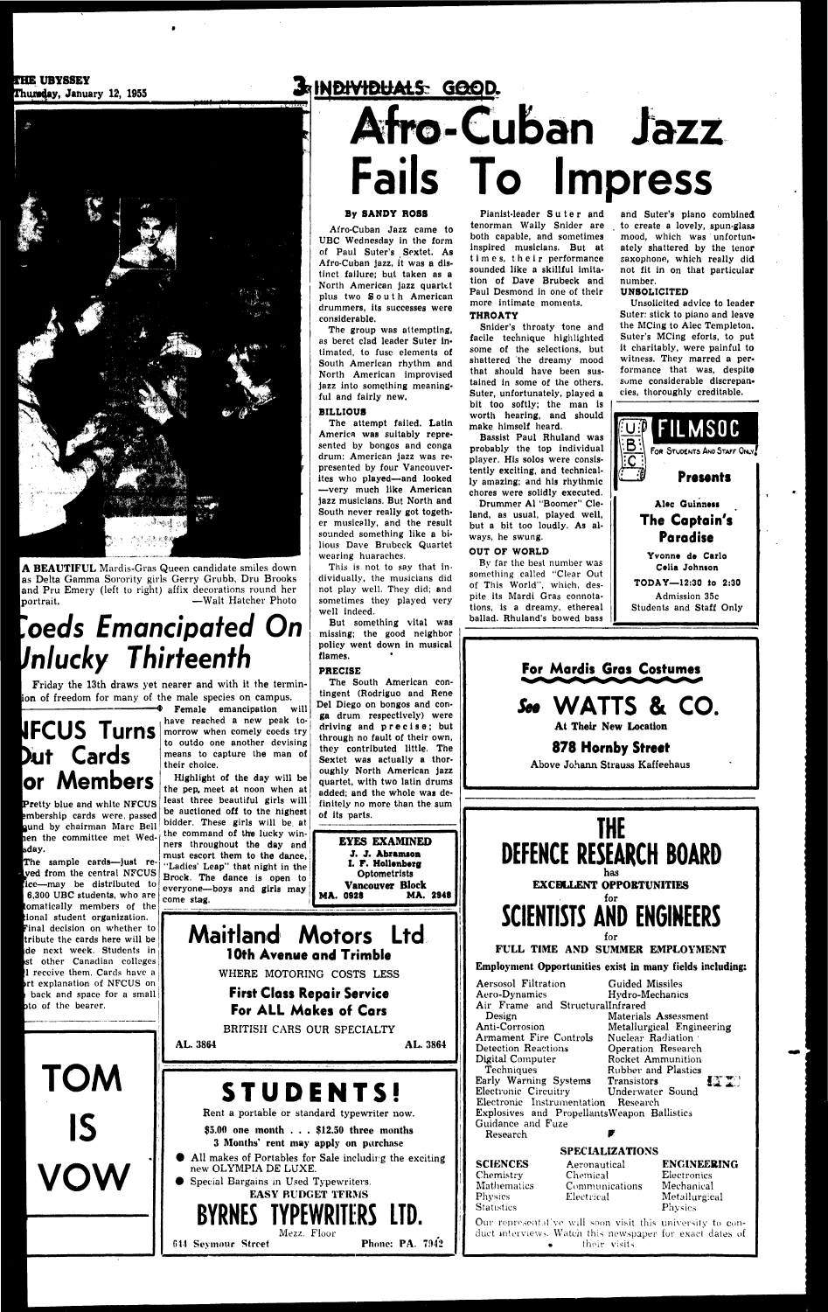A BEAUTIFUL Mardis-Gras Queen candidate smiles down as Delta Gamma Sorority girls Gerry Grubb, Dru Brooks and Pru Emery (left to right) affix decorations round her portrait. — Walt Hatcher Photo -Walt Hatcher Photo

## **THE UBYSSEY<br>Thursday, January 12, 1955**



## **oeds Emancipated On Mucky Thirteenth**

# Cards

# **EXPLAIS GOOD.**<br>Afro-Cuban Jazz **Fails To Impress**

### By SANDY ROSS

Afro-Cuban Jazz came to UBC Wednesday in the form of Paul Suter's Sextet. As Afro-Cuban jazz, it was a distinct failure; but taken as a North American jazz quartet plus two South American drummers, its successes were considerable.

Pianist-leader Suter and tenorman Wally Snider are both capable, and sometimes inspired musicians. But at times, their performance sounded like a skillful imitation of Dave Brubeck and Paul Desmond in one of their more intimate moments.

The group was attempting, as beret clad leader Suter intimated, to fuse elements of South American rhythm and North American improvised jazz into something meaningful and fairly new.

### **BILLIOUS**

The attempt failed. Latin America was suitably represented by bongos and conga drum; American jazz was represented by four Vancouverites who played—and looked —very much like American jazz musicians. But North and South never really got together musically, and the result sounded something like a bilious Dave Brubeck Quartet wearing huaraches.

This is not to say that individually, the musicians did not play well. They did; and sometimes they played very well indeed.

But something vital was missing; the good neighbor policy went down in musical flames.

The South American con-

### THROATY

Snider's throaty tone and facile technique highlighted some of the selections, but shattered the dreamy mood that should have been sustained in some of the others. Suter, unfortunately, played a bit too softly; the man is worth hearing, and should make himself heard.

Bassist Paul Rhuland was probably the top individual player. His solos were consistently exciting, and technically amazing; and his rhythmic chores were solidly executed.

Drummer Al "Boomer" Cleland, as usual, played well, but a bit too loudly. As always, he swung.

### OUT OF WORLD

By far the best number was something called "Clear Out of This World", which, despite its Mardi Gras connotations, is a dreamy, ethereal ballad. Rhuland's bowed bass

and Suter's piano combined to create a lovely, spun-glass mood, which was unfortunately shattered by the tenor saxophone, which really did not fit in on that particular number.

### UNSOLICITED

Unsolicited advice to leader Suter: stick to piano and leave the MCing to Alec Templeton. Suter's MCing eforts, to put it charitably, were painful to witness. They marred a performance that was, despite some considerable discrepancies, thoroughly creditable.